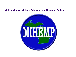#### **Michigan Industrial Hemp Education and Marketing Project**

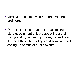- MIHEMP is a state wide non-partisan, nonprofit org.
- Our mission is to educate the public and state government officials about Industrial Hemp and try to clear up the myths and teach the facts through meetings and seminars and setting up booths at public events.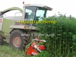## Industrial Hemp

#### What it is and is not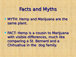#### Facts and Myths

**• MYTH: Hemp and Marijuana are the** same plant.

**E FACT: Hemp is a cousin to Marijuana** with visible differences, much like comparing a St. Bernard and a Chihuahua in the dog family.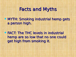#### Facts and Myths

**- MYTH: Smoking industrial hemp gets** a person high.

**FIFACT: The THC levels in industrial** hemp are so low that no one could get high from smoking it.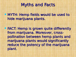#### Myths and Facts

**E** MYTH: Hemp fields would be used to hide marijuana plants.

**E FACT: Hemp is grown quite differently** from marijuana. Moreover, crosspollination between hemp plants and marijuana plants would significantly reduce the potency of the marijuana plant.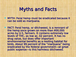#### Myths and Facts

**MYTH: Feral hemp must be eradicated because it** can be sold as marijuana.

**FACT: Feral hemp, or ditchweed, is a remnant of** the hemp once grown on more than 400,000 acres by U.S. farmers. It contains extremely low levels of THC, as low as .02 percent. It has no drug value, but does offer important environmental benefits as a nesting habitat for birds. About 99 percent of the "marijuana" being eradicated by the federal government—at great public expense—is this harmless ditchweed.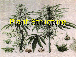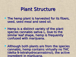**The hemp plant is harvested for its fibers,** seed, seed meal and seed oil.

**Hemp is a distinct variety of the plant** species cannabis sativa L. Due to the similar leaf shape, hemp is frequently confused with marijuana.

**P** Although both plants are from the species cannabis, hemp contains virtually no THC (delta-9-tetrahydrocannabinol), the active ingredient in marijuana.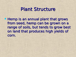**Hemp is an annual plant that grows** from seed, hemp can be grown on a range of soils, but tends to grow best on land that produces high yields of corn.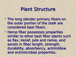**The long slender primary fibers on** the outer portion of the stalk are considered bast fibers. **Hemp fiber possesses properties** similar to other bast fiber plants such as flax, kenaf, jute and ramie, and excels in fiber length, strength, durability, absorbency, antimildew and antimicrobial properties.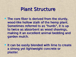**The core fiber is derived from the sturdy,** wood-like hollow stalk of the hemp plant. Sometimes referred to as "hurds", it is up to twice as absorbent as wood shavings, making it an excellent animal bedding and garden mulch.

**If can be easily blended with lime to create** a strong yet lightweight concrete or plaster.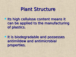**Elts high cellulose content means it** can be applied to the manufacturing of plastics.

**Firm it is biodegradable and possesses** antimildew and antimicrobial properties.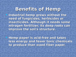**Industrial hemp grows without the need of fungicides, herbicides or insecticides. Although it needs some nitrogen fertilizer, its deep roots can improve the soil's structure.**

 **Hemp paper is acid-free and takes less energy and fewer toxic chemicals to produce than wood fiber paper.**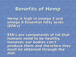#### **Hemp is high in omega n omega 3 and omega 6 Essential fatty acids (EFA's)**

 **EFA's are components of fat that humans need to be healthy, however, our bodies can' es can't produce t oduce them and hem and therefore they must be obtained through the diet.**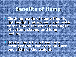**Clothing made of hemp of hemp fiber is lightweight, absorbent and, with three times the tensile strength of cotton, strong and longlasting.**

 **Bricks made ks made from hemp om hemp are stronger t onger than concrete and are one sixth of the weight**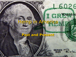## Hemp in America

L6026

SERIES Robe

WASHIN

#### **Past and Present**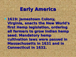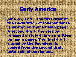**Early America June 28, 1776: The first draft of the Declaration of Independence pendence is written on Dutch hemp paper. A second draft, the version released on July 4, is also written on hemp paper. The final draft, signed by the Founders ounders, is copied from the second draft onto animal parchment.**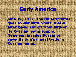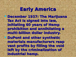**Early America December December 1937: The Marijuana Tax Act is signed into law, initiating 60 years of Hemp prohibition and annihilating a multi-billion dollar industry. DuPont and other synt her synthetic materials manufac manufacturers reap vast profits by filling the void left by the criminalization of industrial hemp.**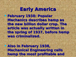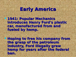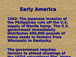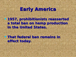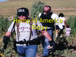# Hemp in America Today—

m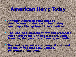**Although American companies still manufacture products with hemp they must import hemp from other countries.**

 **The leading exporters of raw and processed hemp fiber to the United States are China, Romania, Hungary, Italy, Canada, and India.** 

 **The leading exporters of hemp oil and seed**  are the United Kingdom, Canada, **Switzerland, and China.**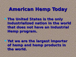**The United States is the only Industrialized nation in the world that does not have an have an Industrial Hemp program.**

 **Yet we are the largest importer of hemp and hemp products in the world.**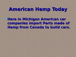**Here in Michigan American car can car companies import Parts made of Hemp from Canada to build cars.**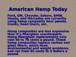#### **American Hemp Today Ford, GM, Chrysler, Saturn, BMW,**

**Honda, and Mercedes are currently using hemp composite door panels, trunks, head liners, etc.**

 **Hemp composites are less expensive than it's fiberglass counterparts. Hemp fiberglass replacements only cost 50 to 70 cents a pound. These hemp composites replace carbon and glass fibers, which have environmental and weight problems, and run from 60 cents to 5 dollars a pound.**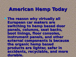**The reason why virtually all European car makers are switching to hemp based door panels, columns, seat backs, boot linings, floor consoles, instrument panels, and other** external components is because **the organic hemp based products are lighter, safer i safer in accidents, recyclable, and more durable.**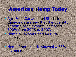Agri-Food Canada and Statistics Canada data show that the quantity of hemp seed exports increased 300% from 2006 to 2007. **Hemp oil exports had an 85%** increase.

 $\blacksquare$  Hemp fiber exports showed a 65% increase.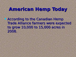According to the Canadian Hemp Trade Alliance farmers were expected to grow 10,000 to 15,000 acres in 2008.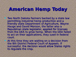Two North Dakota Farmers backed by a state law permitting industrial hemp production and a friendly state Department of Agriculture, Wayne Hauge and David Monson, the latter also a Republican state legislator, applied for licenses from the DEA to grow hemp. When the DEA failed to act on their applications, they sued in federal court.

 At this time they are waiting on a decision from the 8th District Federal Court of Appeals. If successful, the decision would allow States rights to regulate the crop.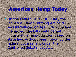On the Federal level, HR 1866, the Industrial Hemp Farming Act of 2009 was introduced on April 5th 2009 and if enacted, the bill would permit industrial hemp production based on state law, without preemption by the federal government under the Controlled Substances Act.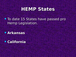**To date 15 States have passed pro** Hemp Legislation.

#### **Arkansas**

#### **California**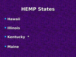#### **Hawaii**

#### **Illinois**

**Kentucky \*** 

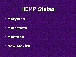**Maryland**

**Minnesota**

**Montana**

**New Mexico**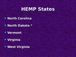- **E North Carolina**
- **North Dakota \***
- **Vermont**
- **Virginia**
- **West Virginia**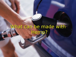## What can be made with Hemp?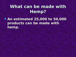#### **What can be made with Hemp?**

 **An estimated 25,000 to 50,000 products can be made with hemp.**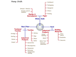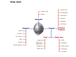#### Hemp Seed

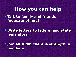## **How you can help Talk to family and friends (educate others).**

#### $\blacksquare$  **Write letters to federal and state legislators.**

 $\blacksquare$  **Join MIHEMP, there is strength in numbers.**